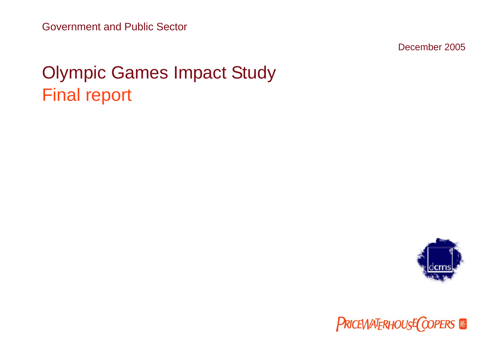Government and Public Sector

December 2005

# Olympic Games Impact Study Final report



**PRICEWATERHOUSE COPERS**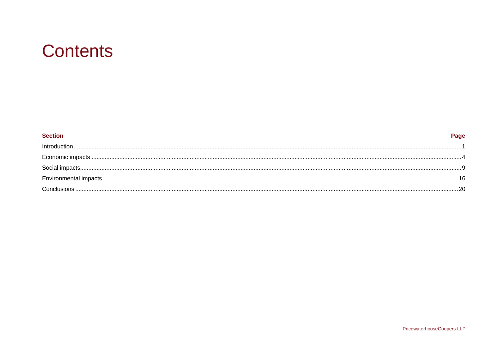# **Contents**

| <b>Section</b> | Page |
|----------------|------|
| Introduction   |      |
|                |      |
|                |      |
|                |      |
|                |      |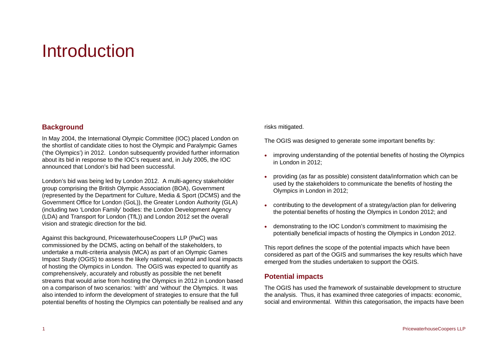# <span id="page-2-0"></span>**Introduction**

### **Background**

In May 2004, the International Olympic Committee (IOC) placed London on the shortlist of candidate cities to host the Olympic and Paralympic Games ('the Olympics') in 2012. London subsequently provided further information about its bid in response to the IOC's request and, in July 2005, the IOC announced that London's bid had been successful.

London's bid was being led by London 2012. A multi-agency stakeholder group comprising the British Olympic Association (BOA), Government (represented by the Department for Culture, Media & Sport (DCMS) and the Government Office for London (GoL)), the Greater London Authority (GLA) (including two 'London Family' bodies: the London Development Agency (LDA) and Transport for London (TfL)) and London 2012 set the overall vision and strategic direction for the bid.

Against this background, PricewaterhouseCoopers LLP (PwC) was commissioned by the DCMS, acting on behalf of the stakeholders, to undertake a multi-criteria analysis (MCA) as part of an Olympic Games Impact Study (OGIS) to assess the likely national, regional and local impacts of hosting the Olympics in London. The OGIS was expected to quantify as comprehensively, accurately and robustly as possible the net benefit streams that would arise from hosting the Olympics in 2012 in London based on a comparison of two scenarios: 'with' and 'without' the Olympics. It was also intended to inform the development of strategies to ensure that the full potential benefits of hosting the Olympics can potentially be realised and any

#### risks mitigated.

The OGIS was designed to generate some important benefits by:

- improving understanding of the potential benefits of hosting the Olympics in London in 2012;
- • providing (as far as possible) consistent data/information which can be used by the stakeholders to communicate the benefits of hosting the Olympics in London in 2012;
- • contributing to the development of a strategy/action plan for delivering the potential benefits of hosting the Olympics in London 2012; and
- • demonstrating to the IOC London's commitment to maximising the potentially beneficial impacts of hosting the Olympics in London 2012.

This report defines the scope of the potential impacts which have been considered as part of the OGIS and summarises the key results which have emerged from the studies undertaken to support the OGIS.

## **Potential impacts**

The OGIS has used the framework of sustainable development to structure the analysis. Thus, it has examined three categories of impacts: economic, social and environmental. Within this categorisation, the impacts have been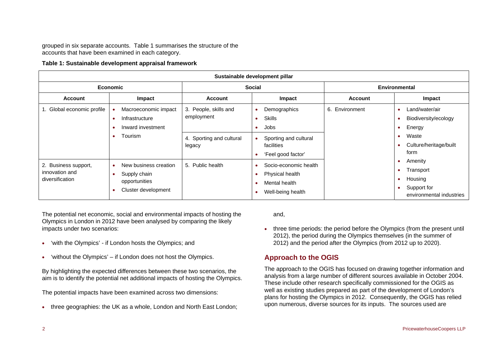grouped in six separate accounts. [Table 1](#page-3-0) summarises the structure of the accounts that have been examined in each category.

#### **Table 1: Sustainable development appraisal framework**

<span id="page-3-0"></span>

| Sustainable development pillar                            |                                                                                     |                                                                           |                                                                                                    |                |                                                                                                    |
|-----------------------------------------------------------|-------------------------------------------------------------------------------------|---------------------------------------------------------------------------|----------------------------------------------------------------------------------------------------|----------------|----------------------------------------------------------------------------------------------------|
|                                                           | <b>Economic</b>                                                                     |                                                                           | <b>Social</b>                                                                                      |                | <b>Environmental</b>                                                                               |
| <b>Account</b>                                            | Impact                                                                              | <b>Account</b>                                                            | Impact                                                                                             | <b>Account</b> | Impact                                                                                             |
| 1. Global economic profile                                | Macroeconomic impact<br>Infrastructure<br>Inward investment<br>Tourism<br>$\bullet$ | 3. People, skills and<br>employment<br>4. Sporting and cultural<br>legacy | Demographics<br><b>Skills</b><br>Jobs<br>Sporting and cultural<br>facilities<br>'Feel good factor' | 6. Environment | Land/water/air<br>- 4<br>Biodiversity/ecology<br>Energy<br>Waste<br>Culture/heritage/built<br>form |
| 2. Business support,<br>innovation and<br>diversification | New business creation<br>Supply chain<br>opportunities<br>Cluster development       | 5. Public health                                                          | Socio-economic health<br>Physical health<br>Mental health<br>Well-being health                     |                | Amenity<br>- 0<br>Transport<br>Housing<br>Support for<br>environmental industries                  |

The potential net economic, social and environmental impacts of hosting the Olympics in London in 2012 have been analysed by comparing the likely impacts under two scenarios:

- •'with the Olympics' - if London hosts the Olympics; and
- •'without the Olympics' – if London does not host the Olympics.

By highlighting the expected differences between these two scenarios, the aim is to identify the potential net additional impacts of hosting the Olympics.

The potential impacts have been examined across two dimensions:

•three geographies: the UK as a whole, London and North East London; and,

• three time periods: the period before the Olympics (from the present until 2012), the period during the Olympics themselves (in the summer of 2012) and the period after the Olympics (from 2012 up to 2020).

# **Approach to the OGIS**

The approach to the OGIS has focused on drawing together information and analysis from a large number of different sources available in October 2004. These include other research specifically commissioned for the OGIS as well as existing studies prepared as part of the development of London's plans for hosting the Olympics in 2012. Consequently, the OGIS has relied upon numerous, diverse sources for its inputs. The sources used are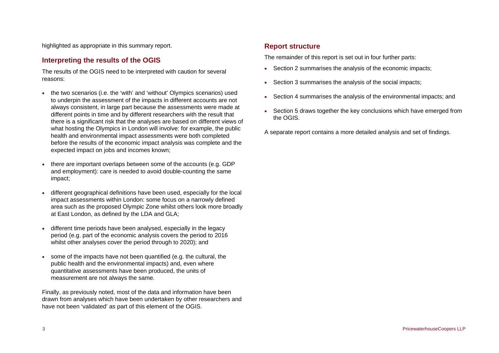highlighted as appropriate in this summary report.

## **Interpreting the results of the OGIS**

The results of the OGIS need to be interpreted with caution for several reasons:

- • the two scenarios (i.e. the 'with' and 'without' Olympics scenarios) used to underpin the assessment of the impacts in different accounts are not always consistent, in large part because the assessments were made at different points in time and by different researchers with the result that there is a significant risk that the analyses are based on different views of what hosting the Olympics in London will involve: for example, the public health and environmental impact assessments were both completed before the results of the economic impact analysis was complete and the expected impact on jobs and incomes known;
- • there are important overlaps between some of the accounts (e.g. GDP and employment): care is needed to avoid double-counting the same impact;
- • different geographical definitions have been used, especially for the local impact assessments within London: some focus on a narrowly defined area such as the proposed Olympic Zone whilst others look more broadly at East London, as defined by the LDA and GLA;
- • different time periods have been analysed, especially in the legacy period (e.g. part of the economic analysis covers the period to 2016 whilst other analyses cover the period through to 2020); and
- • some of the impacts have not been quantified (e.g. the cultural, the public health and the environmental impacts) and, even where quantitative assessments have been produced, the units of measurement are not always the same.

Finally, as previously noted, most of the data and information have been drawn from analyses which have been undertaken by other researchers and have not been 'validated' as part of this element of the OGIS.

# **Report structure**

The remainder of this report is set out in four further parts:

- Section 2 summarises the analysis of the economic impacts;
- Section 3 summarises the analysis of the social impacts;
- Section 4 summarises the analysis of the environmental impacts; and
- • Section 5 draws together the key conclusions which have emerged from the OGIS.
- A separate report contains a more detailed analysis and set of findings.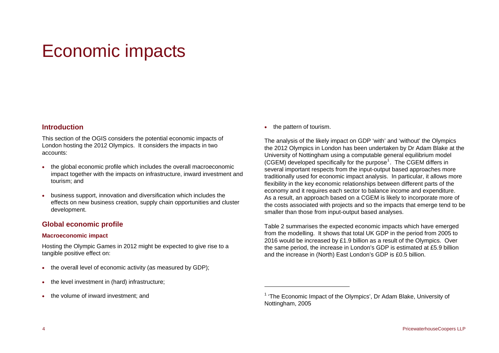# <span id="page-5-0"></span>Economic impacts

### **Introduction**

This section of the OGIS considers the potential economic impacts of London hosting the 2012 Olympics. It considers the impacts in two accounts:

- the global economic profile which includes the overall macroeconomic impact together with the impacts on infrastructure, inward investment and tourism; and
- • business support, innovation and diversification which includes the effects on new business creation, supply chain opportunities and cluster development.

## **Global economic profile**

#### **Macroeconomic impact**

Hosting the Olympic Games in 2012 might be expected to give rise to a tangible positive effect on:

- the overall level of economic activity (as measured by GDP);
- •the level investment in (hard) infrastructure;
- <span id="page-5-1"></span>•the volume of inward investment; and

• the pattern of tourism.

The analysis of the likely impact on GDP 'with' and 'without' the Olympics the 2012 Olympics in London has been undertaken by Dr Adam Blake at the University of Nottingham using a computable general equilibrium model (CGEM) developed specifically for the purpose<sup>[1](#page-5-1)</sup>. The CGEM differs in several important respects from the input-output based approaches more traditionally used for economic impact analysis. In particular, it allows more flexibility in the key economic relationships between different parts of the economy and it requires each sector to balance income and expenditure. As a result, an approach based on a CGEM is likely to incorporate more of the costs associated with projects and so the impacts that emerge tend to be smaller than those from input-output based analyses.

[Table 2](#page-6-0) summarises the expected economic impacts which have emerged from the modelling. It shows that total UK GDP in the period from 2005 to 2016 would be increased by £1.9 billion as a result of the Olympics. Over the same period, the increase in London's GDP is estimated at £5.9 billion and the increase in (North) East London's GDP is £0.5 billion.

 $1$  'The Economic Impact of the Olympics', Dr Adam Blake, University of Nottingham, 2005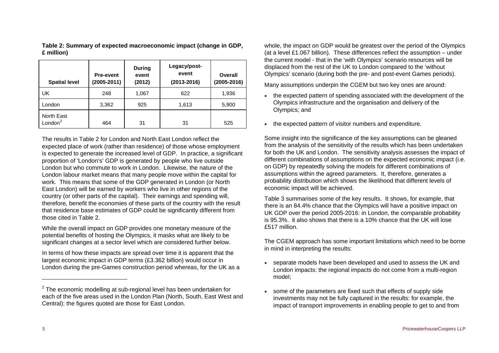<span id="page-6-0"></span>

| <b>Spatial level</b>                     | <b>Pre-event</b><br>$(2005 - 2011)$ | <b>During</b><br>event<br>(2012) | Legacy/post-<br>event<br>$(2013 - 2016)$ | Overall<br>$(2005 - 2016)$ |
|------------------------------------------|-------------------------------------|----------------------------------|------------------------------------------|----------------------------|
| UK                                       | 248                                 | 1,067                            | 622                                      | 1,936                      |
| London                                   | 3,362                               | 925                              | 1,613                                    | 5,900                      |
| <b>North East</b><br>London <sup>2</sup> | 464                                 | 31                               | 31                                       | 525                        |

**Table 2: Summary of expected macroeconomic impact (change in GDP, £ million)** 

The results in [Table 2](#page-6-0) for London and North East London reflect the expected place of work (rather than residence) of those whose employment is expected to generate the increased level of GDP. In practice, a significant proportion of 'London's' GDP is generated by people who live outside London but who commute to work in London. Likewise, the nature of the London labour market means that many people move within the capital for work. This means that some of the GDP generated in London (or North East London) will be earned by workers who live in other regions of the country (or other parts of the capital). Their earnings and spending will, therefore, benefit the economies of these parts of the country with the result that residence base estimates of GDP could be significantly different from those cited in [Table 2](#page-6-0).

While the overall impact on GDP provides one monetary measure of the potential benefits of hosting the Olympics, it masks what are likely to be significant changes at a sector level which are considered further below.

In terms of how these impacts are spread over time it is apparent that the largest economic impact in GDP terms (£3.362 billion) would occur in London during the pre-Games construction period whereas, for the UK as a

whole, the impact on GDP would be greatest over the period of the Olympics (at a level £1.067 billion). These differences reflect the assumption – under the current model - that in the 'with Olympics' scenario resources will be displaced from the rest of the UK to London compared to the 'without Olympics' scenario (during both the pre- and post-event Games periods).

Many assumptions underpin the CGEM but two key ones are around:

- the expected pattern of spending associated with the development of the Olympics infrastructure and the organisation and delivery of the Olympics; and
- •the expected pattern of visitor numbers and expenditure.

Some insight into the significance of the key assumptions can be gleaned from the analysis of the sensitivity of the results which has been undertaken for both the UK and London. The sensitivity analysis assesses the impact of different combinations of assumptions on the expected economic impact (i.e. on GDP) by repeatedly solving the models for different combinations of assumptions within the agreed parameters. It, therefore, generates a probability distribution which shows the likelihood that different levels of economic impact will be achieved.

[Table 3](#page-7-0) summarises some of the key results. It shows, for example, that there is an 84.4% chance that the Olympics will have a positive impact on UK GDP over the period 2005-2016: in London, the comparable probability is 95.3%. it also shows that there is a 10% chance that the UK will lose £517 million.

The CGEM approach has some important limitations which need to be borne in mind in interpreting the results:

- separate models have been developed and used to assess the UK and London impacts: the regional impacts do not come from a multi-region model;
- • some of the parameters are fixed such that effects of supply side investments may not be fully captured in the results: for example, the impact of transport improvements in enabling people to get to and from

<span id="page-6-1"></span> $2$  The economic modelling at sub-regional level has been undertaken for each of the five areas used in the London Plan (North, South, East West and Central): the figures quoted are those for East London.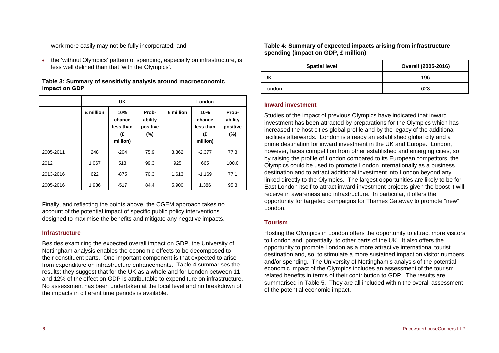work more easily may not be fully incorporated; and

<span id="page-7-1"></span>• the 'without Olympics' pattern of spending, especially on infrastructure, is less well defined than that 'with the Olympics'.

| Table 3: Summary of sensitivity analysis around macroeconomic |
|---------------------------------------------------------------|
| impact on GDP                                                 |

<span id="page-7-0"></span>

|           |           | <b>UK</b>                                    |                                        |           | London                                       |                                        |
|-----------|-----------|----------------------------------------------|----------------------------------------|-----------|----------------------------------------------|----------------------------------------|
|           | £ million | 10%<br>chance<br>less than<br>(£<br>million) | Prob-<br>ability<br>positive<br>$(\%)$ | £ million | 10%<br>chance<br>less than<br>(£<br>million) | Prob-<br>ability<br>positive<br>$(\%)$ |
| 2005-2011 | 248       | $-204$                                       | 75.9                                   | 3,362     | $-2,377$                                     | 77.3                                   |
| 2012      | 1,067     | 513                                          | 99.3                                   | 925       | 665                                          | 100.0                                  |
| 2013-2016 | 622       | $-875$                                       | 70.3                                   | 1,613     | $-1,169$                                     | 77.1                                   |
| 2005-2016 | 1,936     | $-517$                                       | 84.4                                   | 5,900     | 1,386                                        | 95.3                                   |

Finally, and reflecting the points above, the CGEM approach takes no account of the potential impact of specific public policy interventions designed to maximise the benefits and mitigate any negative impacts.

#### **Infrastructure**

Besides examining the expected overall impact on GDP, the University of Nottingham analysis enables the economic effects to be decomposed to their constituent parts. One important component is that expected to arise from expenditure on infrastructure enhancements. [Table 4](#page-7-1) summarises the results: they suggest that for the UK as a whole and for London between 11 and 12% of the effect on GDP is attributable to expenditure on infrastructure. No assessment has been undertaken at the local level and no breakdown of the impacts in different time periods is available.

**Table 4: Summary of expected impacts arising from infrastructure spending (impact on GDP, £ million)** 

| <b>Spatial level</b> | Overall (2005-2016) |
|----------------------|---------------------|
| UK                   | 196                 |
| London               | 623                 |

#### **Inward investment**

Studies of the impact of previous Olympics have indicated that inward investment has been attracted by preparations for the Olympics which has increased the host cities global profile and by the legacy of the additional facilities afterwards. London is already an established global city and a prime destination for inward investment in the UK and Europe. London, however, faces competition from other established and emerging cities, so by raising the profile of London compared to its European competitors, the Olympics could be used to promote London internationally as a business destination and to attract additional investment into London beyond any linked directly to the Olympics. The largest opportunities are likely to be for East London itself to attract inward investment projects given the boost it will receive in awareness and infrastructure. In particular, it offers the opportunity for targeted campaigns for Thames Gateway to promote "new" London.

#### **Tourism**

Hosting the Olympics in London offers the opportunity to attract more visitors to London and, potentially, to other parts of the UK. It also offers the opportunity to promote London as a more attractive international tourist destination and, so, to stimulate a more sustained impact on visitor numbers and/or spending. The University of Nottingham's analysis of the potential economic impact of the Olympics includes an assessment of the tourism related benefits in terms of their contribution to GDP. The results are summarised in [Table 5](#page-8-0). They are all included within the overall assessment of the potential economic impact.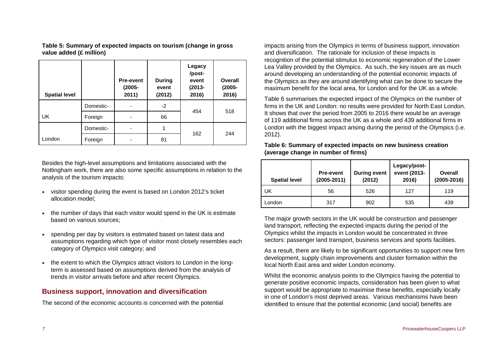**Table 5: Summary of expected impacts on tourism (change in gross value added (£ million)** 

<span id="page-8-0"></span>

| <b>Spatial level</b> |           | <b>Pre-event</b><br>$(2005 -$<br>2011) | <b>During</b><br>event<br>(2012) | Legacy<br>/post-<br>event<br>$(2013 -$<br>2016) | Overall<br>$(2005 -$<br>2016) |
|----------------------|-----------|----------------------------------------|----------------------------------|-------------------------------------------------|-------------------------------|
|                      | Domestic- | ۰                                      | $-2$                             | 454                                             | 518                           |
| <b>UK</b>            | Foreign   |                                        | 66                               |                                                 |                               |
|                      | Domestic- |                                        | 1                                | 162                                             | 244                           |
| London               | Foreign   |                                        | 81                               |                                                 |                               |

<span id="page-8-1"></span>Besides the high-level assumptions and limitations associated with the Nottingham work, there are also some specific assumptions in relation to the analysis of the tourism impacts:

- • visitor spending during the event is based on London 2012's ticket allocation model;
- the number of days that each visitor would spend in the UK is estimate based on various sources;
- • spending per day by visitors is estimated based on latest data and assumptions regarding which type of visitor most closely resembles each category of Olympics visit category; and
- • the extent to which the Olympics attract visitors to London in the longterm is assessed based on assumptions derived from the analysis of trends in visitor arrivals before and after recent Olympics.

## **Business support, innovation and diversification**

The second of the economic accounts is concerned with the potential

impacts arising from the Olympics in terms of business support, innovation and diversification. The rationale for inclusion of these impacts is recognition of the potential stimulus to economic regeneration of the Lower Lea Valley provided by the Olympics. As such, the key issues are as much around developing an understanding of the potential economic impacts of the Olympics as they are around identifying what can be done to secure the maximum benefit for the local area, for London and for the UK as a whole.

[Table 6](#page-8-1) summarises the expected impact of the Olympics on the number of firms in the UK and London: no results were provided for North East London. It shows that over the period from 2005 to 2016 there would be an average of 119 additional firms across the UK as a whole and 439 additional firms in London with the biggest impact arising during the period of the Olympics (i.e. 2012).

| Table 6: Summary of expected impacts on new business creation |
|---------------------------------------------------------------|
| (average change in number of firms)                           |

| <b>Spatial level</b> | <b>Pre-event</b><br>(2005-2011) | <b>During event</b><br>(2012) | Legacy/post-<br>event (2013-<br>2016) | Overall<br>(2005-2016) |
|----------------------|---------------------------------|-------------------------------|---------------------------------------|------------------------|
| UK                   | 56                              | 526                           | 127                                   | 119                    |
| London               | 317                             | 902                           | 535                                   | 439                    |

The major growth sectors in the UK would be construction and passenger land transport, reflecting the expected impacts during the period of the Olympics whilst the impacts in London would be concentrated in three sectors: passenger land transport, business services and sports facilities.

As a result, there are likely to be significant opportunities to support new firm development, supply chain improvements and cluster formation within the local North East area and wider London economy.

Whilst the economic analysis points to the Olympics having the potential to generate positive economic impacts, consideration has been given to what support would be appropriate to maximise these benefits, especially locally in one of London's most deprived areas. Various mechanisms have been identified to ensure that the potential economic (and social) benefits are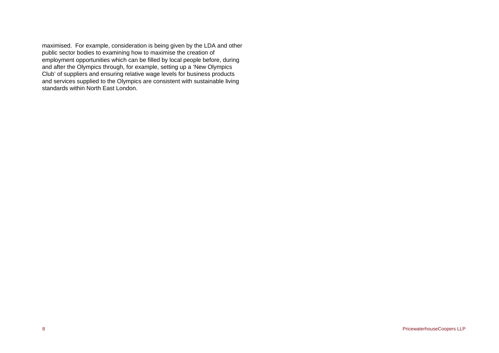maximised. For example, consideration is being given by the LDA and other public sector bodies to examining how to maximise the creation of employment opportunities which can be filled by local people before, during and after the Olympics through, for example, setting up a 'New Olympics Club' of suppliers and ensuring relative wage levels for business products and services supplied to the Olympics are consistent with sustainable living standards within North East London.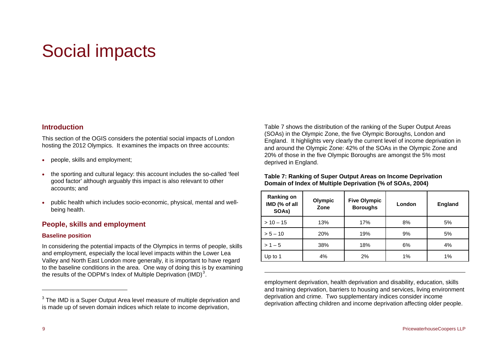# <span id="page-10-0"></span>Social impacts

### **Introduction**

This section of the OGIS considers the potential social impacts of London hosting the 2012 Olympics. It examines the impacts on three accounts:

- •people, skills and employment;
- <span id="page-10-2"></span>• the sporting and cultural legacy: this account includes the so-called 'feel good factor' although arguably this impact is also relevant to other accounts; and
- • public health which includes socio-economic, physical, mental and wellbeing health.

## **People, skills and employment**

#### **Baseline position**

In considering the potential impacts of the Olympics in terms of people, skills and employment, especially the local level impacts within the Lower Lea Valley and North East London more generally, it is important to have regard to the baseline conditions in the area. One way of doing this is by examining the results of the ODPM's Index of Multiple Deprivation  $(IMD)^3$  $(IMD)^3$ .

[Table 7](#page-10-2) shows the distribution of the ranking of the Super Output Areas (SOAs) in the Olympic Zone, the five Olympic Boroughs, London and England. It highlights very clearly the current level of income deprivation in and around the Olympic Zone: 42% of the SOAs in the Olympic Zone and 20% of those in the five Olympic Boroughs are amongst the 5% most deprived in England.

#### **Table 7: Ranking of Super Output Areas on Income Deprivation Domain of Index of Multiple Deprivation (% of SOAs, 2004)**

| <b>Ranking on</b><br>IMD (% of all<br>SOAs) | Olympic<br>Zone | <b>Five Olympic</b><br>London<br><b>Boroughs</b> |    | <b>England</b> |
|---------------------------------------------|-----------------|--------------------------------------------------|----|----------------|
| $> 10 - 15$                                 | 13%             | 17%                                              | 8% | 5%             |
| $> 5 - 10$                                  | 20%             | 19%                                              | 9% | 5%             |
| $> 1 - 5$                                   | 38%             | 18%                                              | 6% | 4%             |
| Up to 1                                     | 4%              | 2%                                               | 1% | 1%             |

employment deprivation, health deprivation and disability, education, skills and training deprivation, barriers to housing and services, living environment deprivation and crime. Two supplementary indices consider income deprivation affecting children and income deprivation affecting older people.

<span id="page-10-1"></span> $3$  The IMD is a Super Output Area level measure of multiple deprivation and is made up of seven domain indices which relate to income deprivation,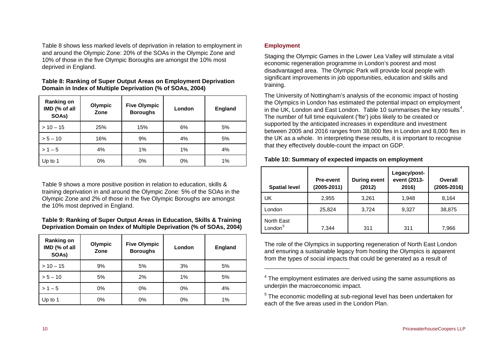[Table 8](#page-11-0) shows less marked levels of deprivation in relation to employment in and around the Olympic Zone: 20% of the SOAs in the Olympic Zone and 10% of those in the five Olympic Boroughs are amongst the 10% most deprived in England.

**Table 8: Ranking of Super Output Areas on Employment Deprivation Domain in Index of Multiple Deprivation (% of SOAs, 2004)** 

<span id="page-11-0"></span>

| <b>Ranking on</b><br>IMD (% of all<br>SOAs) | Olympic<br>Zone | <b>Five Olympic</b><br><b>Boroughs</b> | London | <b>England</b> |
|---------------------------------------------|-----------------|----------------------------------------|--------|----------------|
| $> 10 - 15$                                 | 25%             | 15%                                    | 6%     | 5%             |
| $> 5 - 10$                                  | 16%             | 9%                                     | 4%     | 5%             |
| $> 1 - 5$                                   | 4%              | 1%                                     | 1%     | 4%             |
| Up to 1                                     | 0%              | 0%                                     | 0%     | 1%             |

<span id="page-11-3"></span>[Table 9](#page-11-1) shows a more positive position in relation to education, skills & training deprivation in and around the Olympic Zone: 5% of the SOAs in the Olympic Zone and 2% of those in the five Olympic Boroughs are amongst the 10% most deprived in England.

#### **Table 9: Ranking of Super Output Areas in Education, Skills & Training Deprivation Domain on Index of Multiple Deprivation (% of SOAs, 2004)**

<span id="page-11-4"></span><span id="page-11-2"></span><span id="page-11-1"></span>

| <b>Ranking on</b><br>IMD (% of all<br>SOAs) | Olympic<br>Zone | <b>Five Olympic</b><br>London<br><b>Boroughs</b> |       | <b>England</b> |
|---------------------------------------------|-----------------|--------------------------------------------------|-------|----------------|
| $>10-15$                                    | 9%              | 5%                                               | 3%    | 5%             |
| $> 5 - 10$                                  | 5%              | 2%                                               | 1%    | 5%             |
| $> 1 - 5$                                   | 0%              | 0%                                               | 0%    | 4%             |
| Up to 1                                     | 0%              | 0%                                               | $0\%$ | 1%             |

### **Employment**

Staging the Olympic Games in the Lower Lea Valley will stimulate a vital economic regeneration programme in London's poorest and most disadvantaged area. The Olympic Park will provide local people with significant improvements in job opportunities, education and skills and training.

The University of Nottingham's analysis of the economic impact of hosting the Olympics in London has estimated the potential impact on employment in the UK, London and East London. [Table 10](#page-11-3) summarises the key results<sup>[4](#page-11-2)</sup>. The number of full time equivalent ('fte') jobs likely to be created or supported by the anticipated increases in expenditure and investment between 2005 and 2016 ranges from 38,000 ftes in London and 8,000 ftes in the UK as a whole. In interpreting these results, it is important to recognise that they effectively double-count the impact on GDP.

#### **Table 10: Summary of expected impacts on employment**

| <b>Spatial level</b>              | <b>Pre-event</b><br>(2005-2011) | <b>During event</b><br>(2012) | Legacy/post-<br>event (2013-<br>2016) | Overall<br>$(2005 - 2016)$ |
|-----------------------------------|---------------------------------|-------------------------------|---------------------------------------|----------------------------|
| UK                                | 2,955                           | 3,261                         | 1,948                                 | 8,164                      |
| London                            | 25,824                          | 3,724                         | 9,327                                 | 38,875                     |
| North East<br>London <sup>5</sup> | 7,344                           | 311                           | 311                                   | 7,966                      |

The role of the Olympics in supporting regeneration of North East London and ensuring a sustainable legacy from hosting the Olympics is apparent from the types of social impacts that could be generated as a result of

 $4$  The employment estimates are derived using the same assumptions as underpin the macroeconomic impact.

<sup>5</sup> The economic modelling at sub-regional level has been undertaken for each of the five areas used in the London Plan.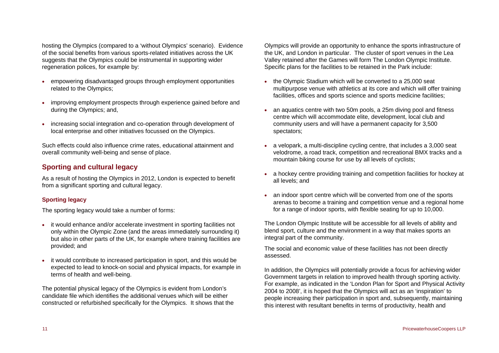hosting the Olympics (compared to a 'without Olympics' scenario). Evidence of the social benefits from various sports-related initiatives across the UK suggests that the Olympics could be instrumental in supporting wider regeneration polices, for example by:

- empowering disadvantaged groups through employment opportunities related to the Olympics;
- • improving employment prospects through experience gained before and during the Olympics; and,
- • increasing social integration and co-operation through development of local enterprise and other initiatives focussed on the Olympics.

Such effects could also influence crime rates, educational attainment and overall community well-being and sense of place.

## **Sporting and cultural legacy**

As a result of hosting the Olympics in 2012, London is expected to benefit from a significant sporting and cultural legacy.

#### **Sporting legacy**

The sporting legacy would take a number of forms:

- it would enhance and/or accelerate investment in sporting facilities not only within the Olympic Zone (and the areas immediately surrounding it) but also in other parts of the UK, for example where training facilities are provided; and
- • it would contribute to increased participation in sport, and this would be expected to lead to knock-on social and physical impacts, for example in terms of health and well-being.

The potential physical legacy of the Olympics is evident from London's candidate file which identifies the additional venues which will be either constructed or refurbished specifically for the Olympics. It shows that the

Olympics will provide an opportunity to enhance the sports infrastructure of the UK, and London in particular. The cluster of sport venues in the Lea Valley retained after the Games will form The London Olympic Institute. Specific plans for the facilities to be retained in the Park include:

- the Olympic Stadium which will be converted to a 25,000 seat multipurpose venue with athletics at its core and which will offer training facilities, offices and sports science and sports medicine facilities;
- • an aquatics centre with two 50m pools, a 25m diving pool and fitness centre which will accommodate elite, development, local club and community users and will have a permanent capacity for 3,500 spectators;
- a velopark, a multi-discipline cycling centre, that includes a 3,000 seat velodrome, a road track, competition and recreational BMX tracks and a mountain biking course for use by all levels of cyclists;
- • a hockey centre providing training and competition facilities for hockey at all levels; and
- • an indoor sport centre which will be converted from one of the sports arenas to become a training and competition venue and a regional home for a range of indoor sports, with flexible seating for up to 10,000.

The London Olympic Institute will be accessible for all levels of ability and blend sport, culture and the environment in a way that makes sports an integral part of the community.

The social and economic value of these facilities has not been directly assessed.

In addition, the Olympics will potentially provide a focus for achieving wider Government targets in relation to improved health through sporting activity. For example, as indicated in the 'London Plan for Sport and Physical Activity 2004 to 2008', it is hoped that the Olympics will act as an 'inspiration' to people increasing their participation in sport and, subsequently, maintaining this interest with resultant benefits in terms of productivity, health and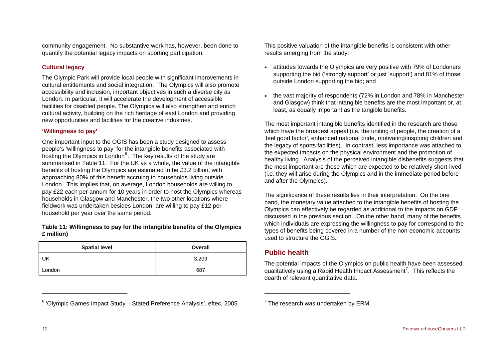community engagement. No substantive work has, however, been done to quantify the potential legacy impacts on sporting participation.

#### **Cultural legacy**

The Olympic Park will provide local people with significant improvements in cultural entitlements and social integration. The Olympics will also promote accessibility and inclusion, important objectives in such a diverse city as London. In particular, it will accelerate the development of accessible facilities for disabled people. The Olympics will also strengthen and enrich cultural activity, building on the rich heritage of east London and providing new opportunities and facilities for the creative industries.

#### **'Willingness to pay'**

One important input to the OGIS has been a study designed to assess people's 'willingness to pay' for the intangible benefits associated with hosting the Olympics in London<sup>[6](#page-13-0)</sup>. The key results of the study are summarised in [Table 11](#page-13-1). For the UK as a whole, the value of the intangible benefits of hosting the Olympics are estimated to be £3.2 billion, with approaching 80% of this benefit accruing to households living outside London. This implies that, on average, London households are willing to pay £22 each per annum for 10 years in order to host the Olympics whereas households in Glasgow and Manchester, the two other locations where fieldwork was undertaken besides London, are willing to pay £12 per household per year over the same period.

#### <span id="page-13-1"></span>**Table 11: Willingness to pay for the intangible benefits of the Olympics £ million)**

| <b>Spatial level</b> | Overall |  |
|----------------------|---------|--|
| UK                   | 3,209   |  |
| London               | 687     |  |

## <span id="page-13-0"></span>6 'Olympic Games Impact Study – Stated Preference Analysis', eftec, 2005

This positive valuation of the intangible benefits is consistent with other results emerging from the study:

- • attitudes towards the Olympics are very positive with 79% of Londoners supporting the bid ('strongly support' or just 'support') and 81% of those outside London supporting the bid; and
- • the vast majority of respondents (72% in London and 78% in Manchester and Glasgow) think that intangible benefits are the most important or, at least, as equally important as the tangible benefits.

The most important intangible benefits identified in the research are those which have the broadest appeal (i.e. the uniting of people, the creation of a 'feel good factor', enhanced national pride, motivating/inspiring children and the legacy of sports facilities). In contrast, less importance was attached to the expected impacts on the physical environment and the promotion of healthy living. Analysis of the perceived intangible disbenefits suggests that the most important are those which are expected to be relatively short-lived (i.e. they will arise during the Olympics and in the immediate period before and after the Olympics).

The significance of these results lies in their interpretation. On the one hand, the monetary value attached to the intangible benefits of hosting the Olympics can effectively be regarded as additional to the impacts on GDP discussed in the previous section. On the other hand, many of the benefits which individuals are expressing the willingness to pay for correspond to the types of benefits being covered in a number of the non-economic accounts used to structure the OGIS.

## **Public health**

The potential impacts of the Olympics on public health have been assessed qualitatively using a Rapid Health Impact Assessment<sup>[7](#page-13-0)</sup>. This reflects the dearth of relevant quantitative data.

 $7$  The research was undertaken by ERM.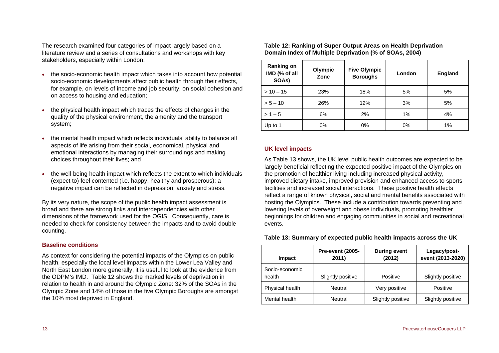<span id="page-14-0"></span>The research examined four categories of impact largely based on a literature review and a series of consultations and workshops with key stakeholders, especially within London:

- • the socio-economic health impact which takes into account how potential socio-economic developments affect public health through their effects, for example, on levels of income and job security, on social cohesion and on access to housing and education;
- • the physical health impact which traces the effects of changes in the quality of the physical environment, the amenity and the transport system;
- • the mental health impact which reflects individuals' ability to balance all aspects of life arising from their social, economical, physical and emotional interactions by managing their surroundings and making choices throughout their lives; and
- • the well-being health impact which reflects the extent to which individuals (expect to) feel contented (i.e. happy, healthy and prosperous): a negative impact can be reflected in depression, anxiety and stress.

By its very nature, the scope of the public health impact assessment is broad and there are strong links and interdependencies with other dimensions of the framework used for the OGIS. Consequently, care is needed to check for consistency between the impacts and to avoid double counting.

#### <span id="page-14-1"></span>**Baseline conditions**

As context for considering the potential impacts of the Olympics on public health, especially the local level impacts within the Lower Lea Valley and North East London more generally, it is useful to look at the evidence from the ODPM's IMD. [Table 12](#page-14-0) shows the marked levels of deprivation in relation to health in and around the Olympic Zone: 32% of the SOAs in the Olympic Zone and 14% of those in the five Olympic Boroughs are amongst the 10% most deprived in England.

**Table 12: Ranking of Super Output Areas on Health Deprivation Domain Index of Multiple Deprivation (% of SOAs, 2004)** 

| <b>Ranking on</b><br>IMD (% of all<br>SOAs) | Olympic<br>Zone | <b>Five Olympic</b><br><b>Boroughs</b> | London | <b>England</b> |
|---------------------------------------------|-----------------|----------------------------------------|--------|----------------|
| $>10-15$                                    | 23%             | 18%                                    | 5%     | 5%             |
| $> 5 - 10$                                  | 26%             | 12%                                    | 3%     | 5%             |
| $> 1 - 5$                                   | 6%              | 2%                                     | 1%     | 4%             |
| Up to 1                                     | 0%              | 0%                                     | 0%     | 1%             |

#### **UK level impacts**

As [Table 13](#page-14-1) shows, the UK level public health outcomes are expected to be largely beneficial reflecting the expected positive impact of the Olympics on the promotion of healthier living including increased physical activity, improved dietary intake, improved provision and enhanced access to sports facilities and increased social interactions. These positive health effects reflect a range of known physical, social and mental benefits associated with hosting the Olympics. These include a contribution towards preventing and lowering levels of overweight and obese individuals, promoting healthier beginnings for children and engaging communities in social and recreational events.

**Table 13: Summary of expected public health impacts across the UK** 

| Impact                   | <b>Pre-event (2005-</b><br>2011) | <b>During event</b><br>(2012) | Legacy/post-<br>event (2013-2020) |
|--------------------------|----------------------------------|-------------------------------|-----------------------------------|
| Socio-economic<br>health | Slightly positive                | Positive                      | Slightly positive                 |
| Physical health          | Neutral                          | Very positive                 | Positive                          |
| Mental health            | Neutral                          | Slightly positive             | Slightly positive                 |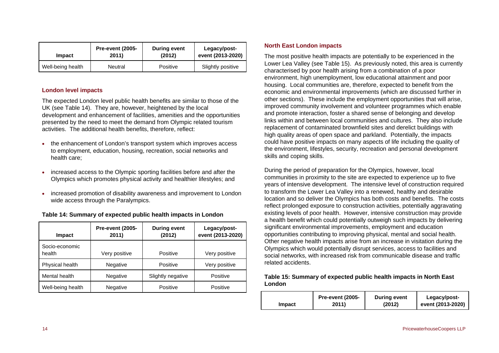| Impact            | <b>Pre-event (2005-</b> | During event | Legacy/post-      |
|-------------------|-------------------------|--------------|-------------------|
|                   | 2011)                   | (2012)       | event (2013-2020) |
| Well-being health | Neutral                 | Positive     | Slightly positive |

#### **London level impacts**

The expected London level public health benefits are similar to those of the UK (see [Table 14](#page-15-0)). They are, however, heightened by the local development and enhancement of facilities, amenities and the opportunities presented by the need to meet the demand from Olympic related tourism activities. The additional health benefits, therefore, reflect:

- the enhancement of London's transport system which improves access to employment, education, housing, recreation, social networks and health care;
- • increased access to the Olympic sporting facilities before and after the Olympics which promotes physical activity and healthier lifestyles; and
- • increased promotion of disability awareness and improvement to London wide access through the Paralympics.

<span id="page-15-1"></span><span id="page-15-0"></span>

| Impact                   | <b>Pre-event (2005-</b><br>2011) | <b>During event</b><br>(2012) | Legacy/post-<br>event (2013-2020) |
|--------------------------|----------------------------------|-------------------------------|-----------------------------------|
| Socio-economic<br>health | Very positive                    | Positive                      | Very positive                     |
| Physical health          | Negative                         | Positive                      | Very positive                     |
| Mental health            | Negative                         | Slightly negative             | Positive                          |
| Well-being health        | Negative                         | Positive                      | Positive                          |

#### **Table 14: Summary of expected public health impacts in London**

#### **North East London impacts**

The most positive health impacts are potentially to be experienced in the Lower Lea Valley (see [Table 15](#page-15-1)). As previously noted, this area is currently characterised by poor health arising from a combination of a poor environment, high unemployment, low educational attainment and poor housing. Local communities are, therefore, expected to benefit from the economic and environmental improvements (which are discussed further in other sections). These include the employment opportunities that will arise, improved community involvement and volunteer programmes which enable and promote interaction, foster a shared sense of belonging and develop links within and between local communities and cultures. They also include replacement of contaminated brownfield sites and derelict buildings with high quality areas of open space and parkland. Potentially, the impacts could have positive impacts on many aspects of life including the quality of the environment, lifestyles, security, recreation and personal development skills and coping skills.

During the period of preparation for the Olympics, however, local communities in proximity to the site are expected to experience up to five years of intensive development. The intensive level of construction required to transform the Lower Lea Valley into a renewed, healthy and desirable location and so deliver the Olympics has both costs and benefits. The costs reflect prolonged exposure to construction activities, potentially aggravating existing levels of poor health. However, intensive construction may provide a health benefit which could potentially outweigh such impacts by delivering significant environmental improvements, employment and education opportunities contributing to improving physical, mental and social health. Other negative health impacts arise from an increase in visitation during the Olympics which would potentially disrupt services, access to facilities and social networks, with increased risk from communicable disease and traffic related accidents.

#### **Table 15: Summary of expected public health impacts in North East London**

|        | Pre-event (2005- | <b>During event</b> | Legacy/post-      |
|--------|------------------|---------------------|-------------------|
| Impact | 2011)            | (2012)              | event (2013-2020) |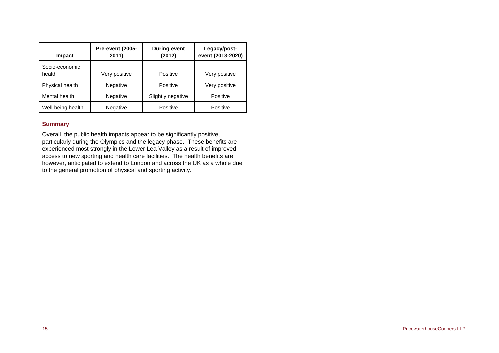| Impact                   | Pre-event (2005-<br>2011) | <b>During event</b><br>(2012) | Legacy/post-<br>event (2013-2020) |
|--------------------------|---------------------------|-------------------------------|-----------------------------------|
| Socio-economic<br>health | Very positive             | Positive                      | Very positive                     |
| Physical health          | Negative                  | Positive                      | Very positive                     |
| Mental health            | Negative                  | Slightly negative             | Positive                          |
| Well-being health        | Negative                  | Positive                      | Positive                          |

### **Summary**

Overall, the public health impacts appear to be significantly positive, particularly during the Olympics and the legacy phase. These benefits are experienced most strongly in the Lower Lea Valley as a result of improved access to new sporting and health care facilities. The health benefits are, however, anticipated to extend to London and across the UK as a whole due to the general promotion of physical and sporting activity.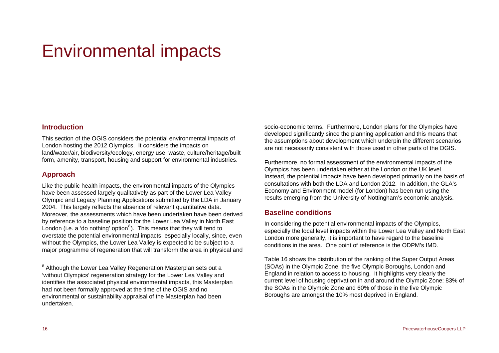# <span id="page-17-0"></span>Environmental impacts

## **Introduction**

This section of the OGIS considers the potential environmental impacts of London hosting the 2012 Olympics. It considers the impacts on land/water/air, biodiversity/ecology, energy use, waste, culture/heritage/built form, amenity, transport, housing and support for environmental industries.

## **Approach**

Like the public health impacts, the environmental impacts of the Olympics have been assessed largely qualitatively as part of the Lower Lea Valley Olympic and Legacy Planning Applications submitted by the LDA in January 2004. This largely reflects the absence of relevant quantitative data. Moreover, the assessments which have been undertaken have been derived by reference to a baseline position for the Lower Lea Valley in North East London (i.e. a 'do nothing' option<sup>[8](#page-17-1)</sup>). This means that they will tend to overstate the potential environmental impacts, especially locally, since, even without the Olympics, the Lower Lea Valley is expected to be subject to a major programme of regeneration that will transform the area in physical and

socio-economic terms. Furthermore, London plans for the Olympics have developed significantly since the planning application and this means that the assumptions about development which underpin the different scenarios are not necessarily consistent with those used in other parts of the OGIS.

Furthermore, no formal assessment of the environmental impacts of the Olympics has been undertaken either at the London or the UK level. Instead, the potential impacts have been developed primarily on the basis of consultations with both the LDA and London 2012. In addition, the GLA's Economy and Environment model (for London) has been run using the results emerging from the University of Nottingham's economic analysis.

## **Baseline conditions**

In considering the potential environmental impacts of the Olympics, especially the local level impacts within the Lower Lea Valley and North East London more generally, it is important to have regard to the baseline conditions in the area. One point of reference is the ODPM's IMD.

[Table 16](#page-18-0) shows the distribution of the ranking of the Super Output Areas (SOAs) in the Olympic Zone, the five Olympic Boroughs, London and England in relation to access to housing. It highlights very clearly the current level of housing deprivation in and around the Olympic Zone: 83% of the SOAs in the Olympic Zone and 60% of those in the five Olympic Boroughs are amongst the 10% most deprived in England.

<span id="page-17-1"></span><sup>&</sup>lt;sup>8</sup> Although the Lower Lea Valley Regeneration Masterplan sets out a 'without Olympics' regeneration strategy for the Lower Lea Valley and identifies the associated physical environmental impacts, this Masterplan had not been formally approved at the time of the OGIS and no environmental or sustainability appraisal of the Masterplan had been undertaken.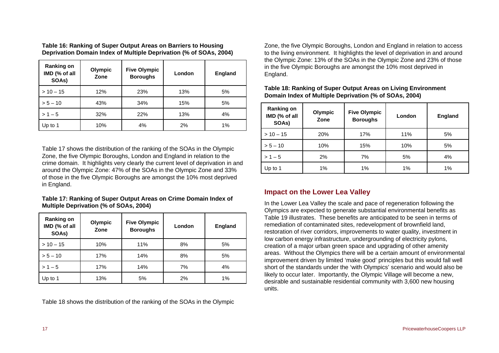**Table 16: Ranking of Super Output Areas on Barriers to Housing Deprivation Domain Index of Multiple Deprivation (% of SOAs, 2004)** 

<span id="page-18-2"></span><span id="page-18-0"></span>

| <b>Ranking on</b><br>IMD (% of all<br>SOAs) | Olympic<br>Zone | <b>Five Olympic</b><br><b>Boroughs</b> | London | <b>England</b> |
|---------------------------------------------|-----------------|----------------------------------------|--------|----------------|
| $>10-15$                                    | 12%             | 23%                                    | 13%    | 5%             |
| $> 5 - 10$                                  | 43%             | 34%                                    | 15%    | 5%             |
| $> 1 - 5$                                   | 32%             | 22%                                    | 13%    | 4%             |
| Up to 1                                     | 10%             | 4%                                     | 2%     | 1%             |

[Table 17](#page-18-1) shows the distribution of the ranking of the SOAs in the Olympic Zone, the five Olympic Boroughs, London and England in relation to the crime domain. It highlights very clearly the current level of deprivation in and around the Olympic Zone: 47% of the SOAs in the Olympic Zone and 33% of those in the five Olympic Boroughs are amongst the 10% most deprived in England.

#### **Table 17: Ranking of Super Output Areas on Crime Domain Index of Multiple Deprivation (% of SOAs, 2004)**

<span id="page-18-1"></span>

| <b>Ranking on</b><br>IMD (% of all<br>SOAs) | Olympic<br>Zone | <b>Five Olympic</b><br><b>Boroughs</b> | London | <b>England</b> |
|---------------------------------------------|-----------------|----------------------------------------|--------|----------------|
| $> 10 - 15$                                 | 10%             | 11%                                    | 8%     | 5%             |
| $> 5 - 10$                                  | 17%             | 14%                                    | 8%     | 5%             |
| $> 1 - 5$                                   | 17%             | 14%                                    | 7%     | 4%             |
| Up to 1                                     | 13%             | 5%                                     | 2%     | 1%             |

[Table 18](#page-18-2) shows the distribution of the ranking of the SOAs in the Olympic

Zone, the five Olympic Boroughs, London and England in relation to access to the living environment. It highlights the level of deprivation in and around the Olympic Zone: 13% of the SOAs in the Olympic Zone and 23% of those in the five Olympic Boroughs are amongst the 10% most deprived in England.

| <b>Ranking on</b><br>IMD (% of all<br>SOAs) | Olympic<br>Zone | <b>Five Olympic</b><br><b>Boroughs</b> | London | <b>England</b> |
|---------------------------------------------|-----------------|----------------------------------------|--------|----------------|
| $> 10 - 15$                                 | 20%             | 17%                                    | 11%    | 5%             |
| $> 5 - 10$                                  | 10%             | 15%                                    | 10%    | 5%             |
| $> 1 - 5$                                   | 2%              | 7%                                     | 5%     | 4%             |
| Up to 1                                     | 1%              | 1%                                     | 1%     | 1%             |

**Table 18: Ranking of Super Output Areas on Living Environment Domain Index of Multiple Deprivation (% of SOAs, 2004)** 

# **Impact on the Lower Lea Valley**

In the Lower Lea Valley the scale and pace of regeneration following the Olympics are expected to generate substantial environmental benefits as [Table 19](#page-19-0) illustrates. These benefits are anticipated to be seen in terms of remediation of contaminated sites, redevelopment of brownfield land, restoration of river corridors, improvements to water quality, investment in low carbon energy infrastructure, undergrounding of electricity pylons, creation of a major urban green space and upgrading of other amenity areas. Without the Olympics there will be a certain amount of environmental improvement driven by limited 'make good' principles but this would fall well short of the standards under the 'with Olympics' scenario and would also be likely to occur later. Importantly, the Olympic Village will become a new, desirable and sustainable residential community with 3,600 new housing units.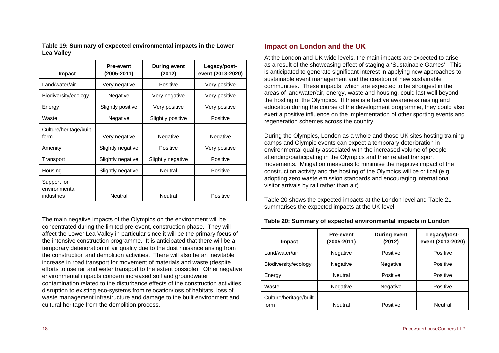**Table 19: Summary of expected environmental impacts in the Lower Lea Valley** 

<span id="page-19-0"></span>

| Impact                                     | <b>Pre-event</b><br>(2005-2011) | <b>During event</b><br>(2012) | Legacy/post-<br>event (2013-2020) |
|--------------------------------------------|---------------------------------|-------------------------------|-----------------------------------|
| Land/water/air                             | Very negative                   | Positive                      | Very positive                     |
| Biodiversity/ecology                       | Negative                        | Very negative                 | Very positive                     |
| Energy                                     | Slightly positive               | Very positive                 | Very positive                     |
| Waste                                      | Negative                        | Slightly positive             | Positive                          |
| Culture/heritage/built<br>form             | Very negative                   | Negative                      | Negative                          |
| Amenity                                    | Slightly negative               | Positive                      | Very positive                     |
| Transport                                  | Slightly negative               | Slightly negative             | Positive                          |
| Housing                                    | Slightly negative               | Neutral                       | Positive                          |
| Support for<br>environmental<br>industries | Neutral                         | <b>Neutral</b>                | Positive                          |

<span id="page-19-1"></span>The main negative impacts of the Olympics on the environment will be concentrated during the limited pre-event, construction phase. They will affect the Lower Lea Valley in particular since it will be the primary focus of the intensive construction programme. It is anticipated that there will be a temporary deterioration of air quality due to the dust nuisance arising from the construction and demolition activities. There will also be an inevitable increase in road transport for movement of materials and waste (despite efforts to use rail and water transport to the extent possible). Other negative environmental impacts concern increased soil and groundwater contamination related to the disturbance effects of the construction activities, disruption to existing eco-systems from relocation/loss of habitats, loss of waste management infrastructure and damage to the built environment and cultural heritage from the demolition process.

## **Impact on London and the UK**

At the London and UK wide levels, the main impacts are expected to arise as a result of the showcasing effect of staging a 'Sustainable Games'. This is anticipated to generate significant interest in applying new approaches to sustainable event management and the creation of new sustainable communities. These impacts, which are expected to be strongest in the areas of land/water/air, energy, waste and housing, could last well beyond the hosting of the Olympics. If there is effective awareness raising and education during the course of the development programme, they could also exert a positive influence on the implementation of other sporting events and regeneration schemes across the country.

During the Olympics, London as a whole and those UK sites hosting training camps and Olympic events can expect a temporary deterioration in environmental quality associated with the increased volume of people attending/participating in the Olympics and their related transport movements. Mitigation measures to minimise the negative impact of the construction activity and the hosting of the Olympics will be critical (e.g. adopting zero waste emission standards and encouraging international visitor arrivals by rail rather than air).

[Table 20](#page-19-1) shows the expected impacts at the London level and [Table 21](#page-20-0) summarises the expected impacts at the UK level.

| Impact                         | <b>During event</b><br><b>Pre-event</b><br>$(2005 - 2011)$<br>(2012) |          | Legacy/post-<br>event (2013-2020) |  |
|--------------------------------|----------------------------------------------------------------------|----------|-----------------------------------|--|
| Land/water/air                 | Negative                                                             | Positive | Positive                          |  |
| Biodiversity/ecology           | <b>Negative</b>                                                      | Negative | Positive                          |  |
| Energy                         | Neutral                                                              | Positive | Positive                          |  |
| Waste                          | <b>Negative</b>                                                      | Negative | Positive                          |  |
| Culture/heritage/built<br>form | <b>Neutral</b>                                                       | Positive | <b>Neutral</b>                    |  |

#### **Table 20: Summary of expected environmental impacts in London**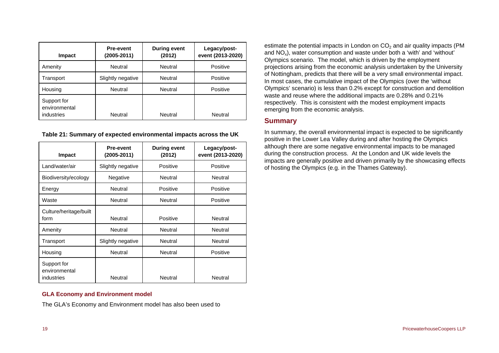| <b>Impact</b>                              | Pre-event<br>$(2005 - 2011)$ | <b>During event</b><br>(2012) | Legacy/post-<br>event (2013-2020) |  |
|--------------------------------------------|------------------------------|-------------------------------|-----------------------------------|--|
| Amenity                                    | Neutral<br>Neutral           |                               | Positive                          |  |
| Transport                                  | Neutral<br>Slightly negative |                               | Positive                          |  |
| Housing                                    | <b>Neutral</b>               | Neutral                       | Positive                          |  |
| Support for<br>environmental<br>industries | Neutral                      | Neutral                       | Neutral                           |  |

**Table 21: Summary of expected environmental impacts across the UK** 

<span id="page-20-0"></span>

| Impact                                     | <b>Pre-event</b><br>(2005-2011) | <b>During event</b><br>(2012) | Legacy/post-<br>event (2013-2020) |  |
|--------------------------------------------|---------------------------------|-------------------------------|-----------------------------------|--|
| Land/water/air                             | Slightly negative               | Positive                      | Positive                          |  |
| Biodiversity/ecology                       | Negative                        | Neutral                       | Neutral                           |  |
| Energy                                     | Neutral                         | Positive                      | Positive                          |  |
| Waste                                      | Neutral                         | Neutral                       | Positive                          |  |
| Culture/heritage/built<br>form             | Neutral                         | Positive                      | Neutral                           |  |
| Amenity                                    | Neutral                         | Neutral                       | Neutral                           |  |
| Transport                                  | Slightly negative               | Neutral                       | Neutral                           |  |
| Housing                                    | Neutral                         | Neutral                       | Positive                          |  |
| Support for<br>environmental<br>industries | Neutral                         | Neutral                       | Neutral                           |  |

#### **GLA Economy and Environment model**

The GLA's Economy and Environment model has also been used to

estimate the potential impacts in London on  $CO<sub>2</sub>$  and air quality impacts (PM and NOx), water consumption and waste under both a 'with' and 'without' Olympics scenario. The model, which is driven by the employment projections arising from the economic analysis undertaken by the University of Nottingham, predicts that there will be a very small environmental impact. In most cases, the cumulative impact of the Olympics (over the 'without Olympics' scenario) is less than 0.2% except for construction and demolition waste and reuse where the additional impacts are 0.28% and 0.21% respectively. This is consistent with the modest employment impacts emerging from the economic analysis.

## **Summary**

In summary, the overall environmental impact is expected to be significantly positive in the Lower Lea Valley during and after hosting the Olympics although there are some negative environmental impacts to be managed during the construction process. At the London and UK wide levels the impacts are generally positive and driven primarily by the showcasing effects of hosting the Olympics (e.g. in the Thames Gateway).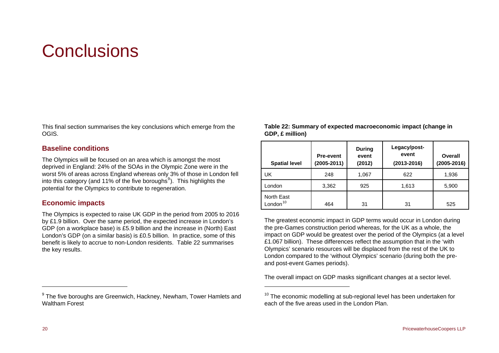# <span id="page-21-0"></span>**Conclusions**

<span id="page-21-2"></span>This final section summarises the key conclusions which emerge from the OGIS.

### **Baseline conditions**

The Olympics will be focused on an area which is amongst the most deprived in England: 24% of the SOAs in the Olympic Zone were in the worst 5% of areas across England whereas only 3% of those in London fell into this category (and 11% of the five boroughs<sup>[9](#page-21-1)</sup>). This highlights the potential for the Olympics to contribute to regeneration.

## **Economic impacts**

The Olympics is expected to raise UK GDP in the period from 2005 to 2016 by £1.9 billion. Over the same period, the expected increase in London's GDP (on a workplace base) is £5.9 billion and the increase in (North) East London's GDP (on a similar basis) is £0.5 billion. In practice, some of this benefit is likely to accrue to non-London residents. [Table 22](#page-21-2) summarises the key results.

<span id="page-21-1"></span><sup>9</sup> The five boroughs are Greenwich, Hackney, Newham, Tower Hamlets and Waltham Forest

**Table 22: Summary of expected macroeconomic impact (change in GDP, £ million)** 

| <b>Spatial level</b>               | <b>Pre-event</b><br>$(2005 - 2011)$ | <b>During</b><br>event<br>(2012) | Legacy/post-<br>event<br>$(2013 - 2016)$ | Overall<br>(2005-2016) |
|------------------------------------|-------------------------------------|----------------------------------|------------------------------------------|------------------------|
| UK                                 | 248                                 | 1,067                            | 622                                      | 1,936                  |
| London                             | 3,362                               | 925                              | 1,613                                    | 5,900                  |
| North East<br>London <sup>10</sup> | 464                                 | 31                               | 31                                       | 525                    |

The greatest economic impact in GDP terms would occur in London during the pre-Games construction period whereas, for the UK as a whole, the impact on GDP would be greatest over the period of the Olympics (at a level £1.067 billion). These differences reflect the assumption that in the 'with Olympics' scenario resources will be displaced from the rest of the UK to London compared to the 'without Olympics' scenario (during both the preand post-event Games periods).

The overall impact on GDP masks significant changes at a sector level.

<sup>&</sup>lt;sup>10</sup> The economic modelling at sub-regional level has been undertaken for each of the five areas used in the London Plan.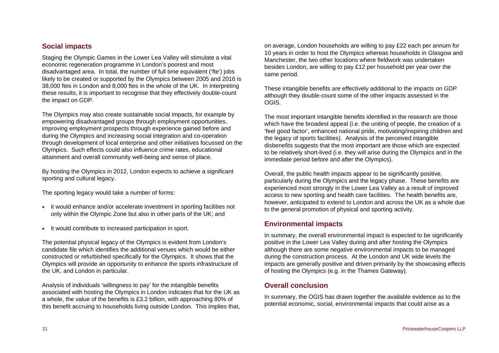## **Social impacts**

Staging the Olympic Games in the Lower Lea Valley will stimulate a vital economic regeneration programme in London's poorest and most disadvantaged area. In total, the number of full time equivalent ('fte') jobs likely to be created or supported by the Olympics between 2005 and 2016 is 38,000 ftes in London and 8,000 ftes in the whole of the UK. In interpreting these results, it is important to recognise that they effectively double-count the impact on GDP.

The Olympics may also create sustainable social impacts, for example by empowering disadvantaged groups through employment opportunities, improving employment prospects through experience gained before and during the Olympics and increasing social integration and co-operation through development of local enterprise and other initiatives focussed on the Olympics. Such effects could also influence crime rates, educational attainment and overall community well-being and sense of place.

By hosting the Olympics in 2012, London expects to achieve a significant sporting and cultural legacy.

The sporting legacy would take a number of forms:

- it would enhance and/or accelerate investment in sporting facilities not only within the Olympic Zone but also in other parts of the UK; and
- it would contribute to increased participation in sport.

The potential physical legacy of the Olympics is evident from London's candidate file which identifies the additional venues which would be either constructed or refurbished specifically for the Olympics. It shows that the Olympics will provide an opportunity to enhance the sports infrastructure of the UK, and London in particular.

Analysis of individuals 'willingness to pay' for the intangible benefits associated with hosting the Olympics in London indicates that for the UK as a whole, the value of the benefits is £3.2 billion, with approaching 80% of this benefit accruing to households living outside London. This implies that, on average, London households are willing to pay £22 each per annum for 10 years in order to host the Olympics whereas households in Glasgow and Manchester, the two other locations where fieldwork was undertaken besides London, are willing to pay £12 per household per year over the same period.

These intangible benefits are effectively additional to the impacts on GDP although they double-count some of the other impacts assessed in the OGIS.

The most important intangible benefits identified in the research are those which have the broadest appeal (i.e. the uniting of people, the creation of a 'feel good factor', enhanced national pride, motivating/inspiring children and the legacy of sports facilities). Analysis of the perceived intangible disbenefits suggests that the most important are those which are expected to be relatively short-lived (i.e. they will arise during the Olympics and in the immediate period before and after the Olympics).

Overall, the public health impacts appear to be significantly positive, particularly during the Olympics and the legacy phase. These benefits are experienced most strongly in the Lower Lea Valley as a result of improved access to new sporting and health care facilities. The health benefits are, however, anticipated to extend to London and across the UK as a whole due to the general promotion of physical and sporting activity.

## **Environmental impacts**

In summary, the overall environmental impact is expected to be significantly positive in the Lower Lea Valley during and after hosting the Olympics although there are some negative environmental impacts to be managed during the construction process. At the London and UK wide levels the impacts are generally positive and driven primarily by the showcasing effects of hosting the Olympics (e.g. in the Thames Gateway).

## **Overall conclusion**

In summary, the OGIS has drawn together the available evidence as to the potential economic, social, environmental impacts that could arise as a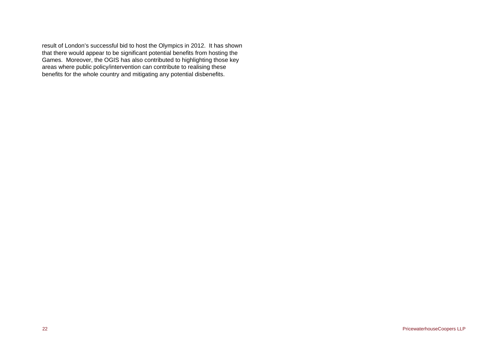result of London's successful bid to host the Olympics in 2012. It has shown that there would appear to be significant potential benefits from hosting the Games. Moreover, the OGIS has also contributed to highlighting those key areas where public policy/intervention can contribute to realising these benefits for the whole country and mitigating any potential disbenefits.